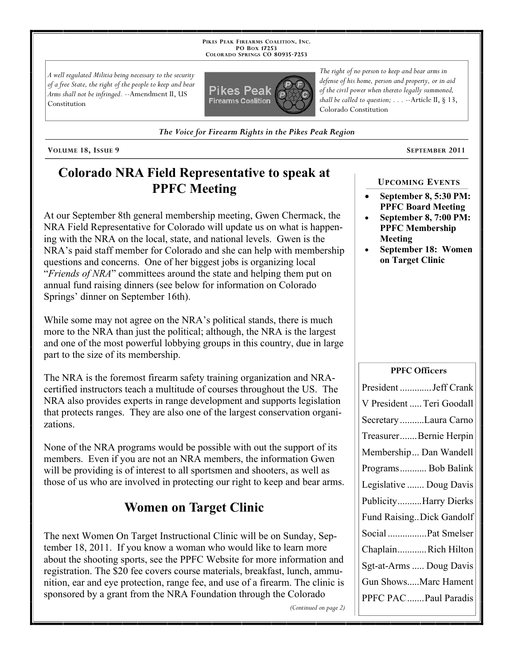**PIKES PEAK FIREARMS COALITION, INC. PO BOX 17253 COLORADO SPRINGS CO 80935 -7253**

*A well regulated Militia being necessary to the security of a free State, the right of the people to keep and bear Arms shall not be infringed.* --Amendment II, US Constitution



*defense of his home, person and property, or in aid of the civil power when thereto legally summoned, shall be called to question; . . .* --Article II, § 13, Colorado Constitution

*The right of no person to keep and bear arms in* 

*The Voice for Firearm Rights in the Pikes Peak Region*

**VOLUME 18, ISSUE 9 SEPTEMBER 2011**

# **Colorado NRA Field Representative to speak at PPFC Meeting**

At our September 8th general membership meeting, Gwen Chermack, the NRA Field Representative for Colorado will update us on what is happening with the NRA on the local, state, and national levels. Gwen is the NRA's paid staff member for Colorado and she can help with membership questions and concerns. One of her biggest jobs is organizing local "*Friends of NRA*" committees around the state and helping them put on annual fund raising dinners (see below for information on Colorado Springs' dinner on September 16th).

While some may not agree on the NRA's political stands, there is much more to the NRA than just the political; although, the NRA is the largest and one of the most powerful lobbying groups in this country, due in large part to the size of its membership.

The NRA is the foremost firearm safety training organization and NRAcertified instructors teach a multitude of courses throughout the US. The NRA also provides experts in range development and supports legislation that protects ranges. They are also one of the largest conservation organizations.

None of the NRA programs would be possible with out the support of its members. Even if you are not an NRA members, the information Gwen will be providing is of interest to all sportsmen and shooters, as well as those of us who are involved in protecting our right to keep and bear arms.

# **Women on Target Clinic**

The next Women On Target Instructional Clinic will be on Sunday, September 18, 2011. If you know a woman who would like to learn more about the shooting sports, see the PPFC Website for more information and registration. The \$20 fee covers course materials, breakfast, lunch, ammunition, ear and eye protection, range fee, and use of a firearm. The clinic is sponsored by a grant from the NRA Foundation through the Colorado

*(Continued on page 2)*

### **September 8, 5:30 PM: PPFC Board Meeting**

**UPCOMING EVENTS**

- **September 8, 7:00 PM: PPFC Membership Meeting**
- **September 18: Women on Target Clinic**

### **PPFC Officers**

| President  Jeff Crank     |
|---------------------------|
| V President  Teri Goodall |
| Secretary Laura Carno     |
| TreasurerBernie Herpin    |
| Membership Dan Wandell    |
| Programs Bob Balink       |
| Legislative  Doug Davis   |
| PublicityHarry Dierks     |
| Fund RaisingDick Gandolf  |
| Social Pat Smelser        |
| ChaplainRich Hilton       |
| Sgt-at-Arms  Doug Davis   |
| Gun ShowsMarc Hament      |
| PPFC PAC  Paul Paradis    |